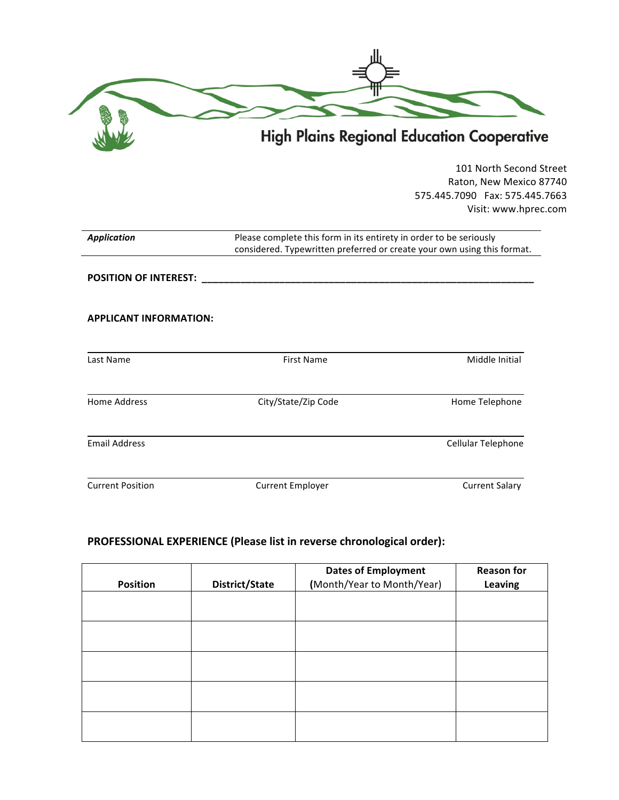| Č | <b>High Plains Regional Education Cooperative</b> |
|---|---------------------------------------------------|

101 North Second Street Raton, New Mexico 87740 575.445.7090 Fax: 575.445.7663 Visit: www.hprec.com

| <b>Application</b>            | Please complete this form in its entirety in order to be seriously<br>considered. Typewritten preferred or create your own using this format. |                       |
|-------------------------------|-----------------------------------------------------------------------------------------------------------------------------------------------|-----------------------|
|                               |                                                                                                                                               |                       |
| <b>APPLICANT INFORMATION:</b> |                                                                                                                                               |                       |
| Last Name                     | <b>First Name</b>                                                                                                                             | Middle Initial        |
| <b>Home Address</b>           | City/State/Zip Code                                                                                                                           | Home Telephone        |
| <b>Email Address</b>          |                                                                                                                                               | Cellular Telephone    |
| <b>Current Position</b>       | <b>Current Employer</b>                                                                                                                       | <b>Current Salary</b> |

# **PROFESSIONAL EXPERIENCE (Please list in reverse chronological order):**

| <b>Dates of Employment</b> | <b>Reason for</b><br>Leaving |
|----------------------------|------------------------------|
|                            |                              |
|                            |                              |
|                            |                              |
|                            |                              |
|                            |                              |
|                            |                              |
| District/State             | (Month/Year to Month/Year)   |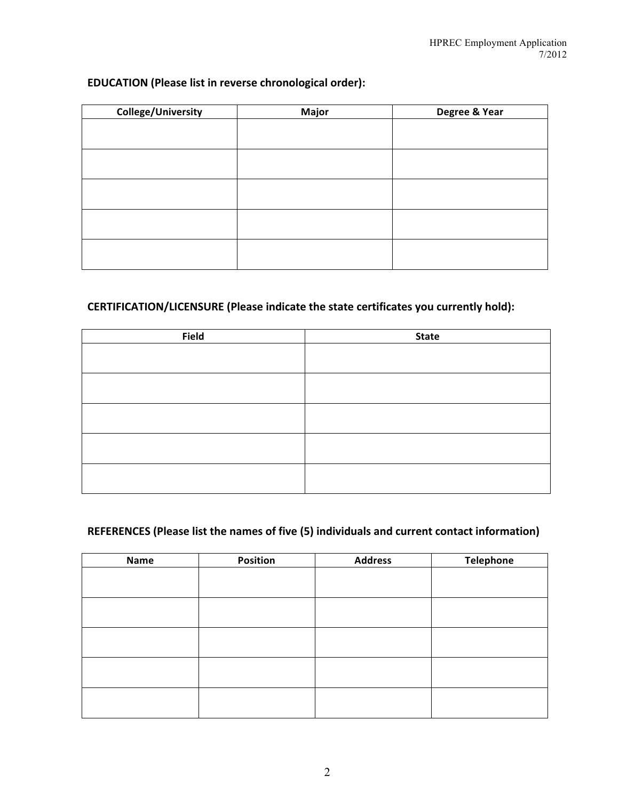#### **EDUCATION** (Please list in reverse chronological order):

| <b>College/University</b> | <b>Major</b> | Degree & Year |
|---------------------------|--------------|---------------|
|                           |              |               |
|                           |              |               |
|                           |              |               |
|                           |              |               |
|                           |              |               |
|                           |              |               |
|                           |              |               |
|                           |              |               |
|                           |              |               |
|                           |              |               |

#### **CERTIFICATION/LICENSURE** (Please indicate the state certificates you currently hold):

| <b>Field</b> | <b>State</b> |
|--------------|--------------|
|              |              |
|              |              |
|              |              |
|              |              |
|              |              |
|              |              |
|              |              |
|              |              |
|              |              |
|              |              |

### **REFERENCES** (Please list the names of five (5) individuals and current contact information)

| <b>Name</b> | Position | <b>Address</b> | <b>Telephone</b> |
|-------------|----------|----------------|------------------|
|             |          |                |                  |
|             |          |                |                  |
|             |          |                |                  |
|             |          |                |                  |
|             |          |                |                  |
|             |          |                |                  |
|             |          |                |                  |
|             |          |                |                  |
|             |          |                |                  |
|             |          |                |                  |